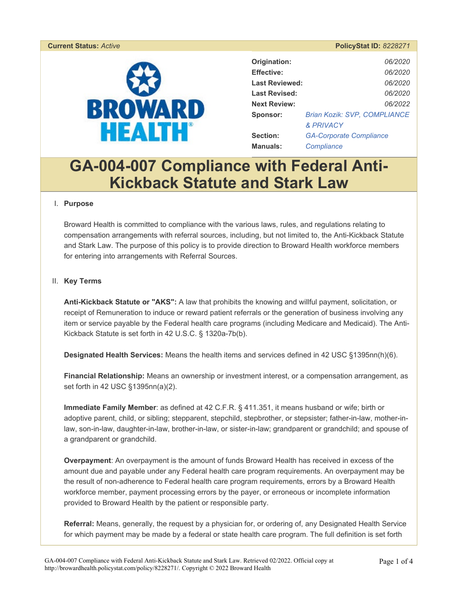

|                       | 1.910                               |  |
|-----------------------|-------------------------------------|--|
|                       |                                     |  |
| Origination:          | 06/2020                             |  |
| <b>Effective:</b>     | 06/2020                             |  |
| <b>Last Reviewed:</b> | 06/2020                             |  |
| <b>Last Revised:</b>  | 06/2020                             |  |
| <b>Next Review:</b>   | 06/2022                             |  |
| Sponsor:              | <b>Brian Kozik: SVP, COMPLIANCE</b> |  |
|                       | <b>&amp; PRIVACY</b>                |  |
| Section:              | <b>GA-Corporate Compliance</b>      |  |
| <b>Manuals:</b>       | Compliance                          |  |

# **GA-004-007 Compliance with Federal Anti-Kickback Statute and Stark Law**

#### I. **Purpose**

Broward Health is committed to compliance with the various laws, rules, and regulations relating to compensation arrangements with referral sources, including, but not limited to, the Anti-Kickback Statute and Stark Law. The purpose of this policy is to provide direction to Broward Health workforce members for entering into arrangements with Referral Sources.

#### II. **Key Terms**

**Anti-Kickback Statute or "AKS":** A law that prohibits the knowing and willful payment, solicitation, or receipt of Remuneration to induce or reward patient referrals or the generation of business involving any item or service payable by the Federal health care programs (including Medicare and Medicaid). The Anti-Kickback Statute is set forth in 42 U.S.C. § 1320a-7b(b).

**Designated Health Services:** Means the health items and services defined in 42 USC §1395nn(h)(6).

**Financial Relationship:** Means an ownership or investment interest, or a compensation arrangement, as set forth in 42 USC §1395nn(a)(2).

**Immediate Family Member**: as defined at 42 C.F.R. § 411.351, it means husband or wife; birth or adoptive parent, child, or sibling; stepparent, stepchild, stepbrother, or stepsister; father-in-law, mother-inlaw, son-in-law, daughter-in-law, brother-in-law, or sister-in-law; grandparent or grandchild; and spouse of a grandparent or grandchild.

**Overpayment**: An overpayment is the amount of funds Broward Health has received in excess of the amount due and payable under any Federal health care program requirements. An overpayment may be the result of non-adherence to Federal health care program requirements, errors by a Broward Health workforce member, payment processing errors by the payer, or erroneous or incomplete information provided to Broward Health by the patient or responsible party.

**Referral:** Means, generally, the request by a physician for, or ordering of, any Designated Health Service for which payment may be made by a federal or state health care program. The full definition is set forth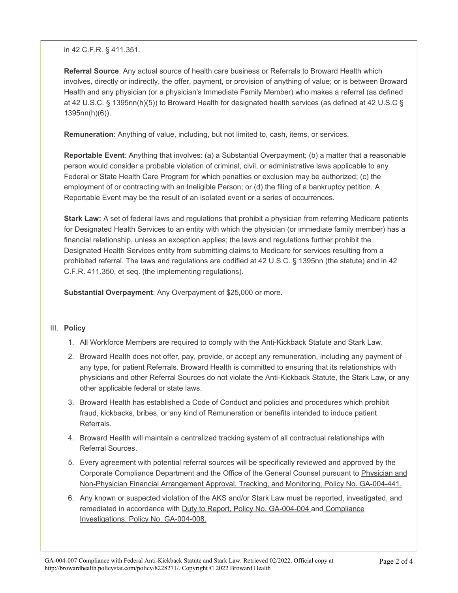#### in 42 C.F.R. § 411.351.

**Referral Source**: Any actual source of health care business or Referrals to Broward Health which involves, directly or indirectly, the offer, payment, or provision of anything of value; or is between Broward Health and any physician (or a physician's Immediate Family Member) who makes a referral (as defined at 42 U.S.C. § 1395nn(h)(5)) to Broward Health for designated health services (as defined at 42 U.S.C § 1395nn(h)(6)).

**Remuneration**: Anything of value, including, but not limited to, cash, items, or services.

**Reportable Event**: Anything that involves: (a) a Substantial Overpayment; (b) a matter that a reasonable person would consider a probable violation of criminal, civil, or administrative laws applicable to any Federal or State Health Care Program for which penalties or exclusion may be authorized; (c) the employment of or contracting with an Ineligible Person; or (d) the filing of a bankruptcy petition. A Reportable Event may be the result of an isolated event or a series of occurrences.

**Stark Law:** A set of federal laws and regulations that prohibit a physician from referring Medicare patients for Designated Health Services to an entity with which the physician (or immediate family member) has a financial relationship, unless an exception applies; the laws and regulations further prohibit the Designated Health Services entity from submitting claims to Medicare for services resulting from a prohibited referral. The laws and regulations are codified at 42 U.S.C. § 1395nn (the statute) and in 42 C.F.R. 411.350, et seq. (the implementing regulations).

**Substantial Overpayment**: Any Overpayment of \$25,000 or more.

#### III. **Policy**

- 1. All Workforce Members are required to comply with the Anti-Kickback Statute and Stark Law.
- 2. Broward Health does not offer, pay, provide, or accept any remuneration, including any payment of any type, for patient Referrals. Broward Health is committed to ensuring that its relationships with physicians and other Referral Sources do not violate the Anti-Kickback Statute, the Stark Law, or any other applicable federal or state laws.
- 3. Broward Health has established a Code of Conduct and policies and procedures which prohibit fraud, kickbacks, bribes, or any kind of Remuneration or benefits intended to induce patient Referrals.
- 4. Broward Health will maintain a centralized tracking system of all contractual relationships with Referral Sources.
- 5. Every agreement with potential referral sources will be specifically reviewed and approved by the Corporate Compliance Department and the Office of the General Counsel pursuant to Physician and Non-Physician Financial Arrangement Approval, Tracking, and Monitoring, Policy No. GA-004-441.
- 6. Any known or suspected violation of the AKS and/or Stark Law must be reported, investigated, and remediated in accordance with Duty to Report, Policy No. GA-004-004 and Compliance Investigations, Policy No. GA-004-008.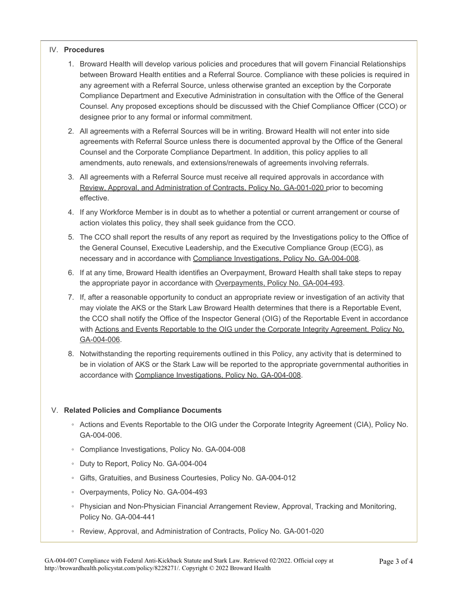#### IV. **Procedures**

- 1. Broward Health will develop various policies and procedures that will govern Financial Relationships between Broward Health entities and a Referral Source. Compliance with these policies is required in any agreement with a Referral Source, unless otherwise granted an exception by the Corporate Compliance Department and Executive Administration in consultation with the Office of the General Counsel. Any proposed exceptions should be discussed with the Chief Compliance Officer (CCO) or designee prior to any formal or informal commitment.
- 2. All agreements with a Referral Sources will be in writing. Broward Health will not enter into side agreements with Referral Source unless there is documented approval by the Office of the General Counsel and the Corporate Compliance Department. In addition, this policy applies to all amendments, auto renewals, and extensions/renewals of agreements involving referrals.
- 3. All agreements with a Referral Source must receive all required approvals in accordance with Review, Approval, and Administration of Contracts, Policy No. GA-001-020 prior to becoming effective.
- 4. If any Workforce Member is in doubt as to whether a potential or current arrangement or course of action violates this policy, they shall seek guidance from the CCO.
- 5. The CCO shall report the results of any report as required by the Investigations policy to the Office of the General Counsel, Executive Leadership, and the Executive Compliance Group (ECG), as necessary and in accordance with Compliance Investigations, Policy No. GA-004-008.
- 6. If at any time, Broward Health identifies an Overpayment, Broward Health shall take steps to repay the appropriate payor in accordance with Overpayments, Policy No. GA-004-493.
- 7. If, after a reasonable opportunity to conduct an appropriate review or investigation of an activity that may violate the AKS or the Stark Law Broward Health determines that there is a Reportable Event, the CCO shall notify the Office of the Inspector General (OIG) of the Reportable Event in accordance with Actions and Events Reportable to the OIG under the Corporate Integrity Agreement, Policy No. GA-004-006.
- 8. Notwithstanding the reporting requirements outlined in this Policy, any activity that is determined to be in violation of AKS or the Stark Law will be reported to the appropriate governmental authorities in accordance with Compliance Investigations, Policy No. GA-004-008.

#### V. **Related Policies and Compliance Documents**

- Actions and Events Reportable to the OIG under the Corporate Integrity Agreement (CIA), Policy No. GA-004-006.
- Compliance Investigations, Policy No. GA-004-008
- Duty to Report, Policy No. GA-004-004
- Gifts, Gratuities, and Business Courtesies, Policy No. GA-004-012
- Overpayments, Policy No. GA-004-493
- Physician and Non-Physician Financial Arrangement Review, Approval, Tracking and Monitoring, Policy No. GA-004-441
- Review, Approval, and Administration of Contracts, Policy No. GA-001-020